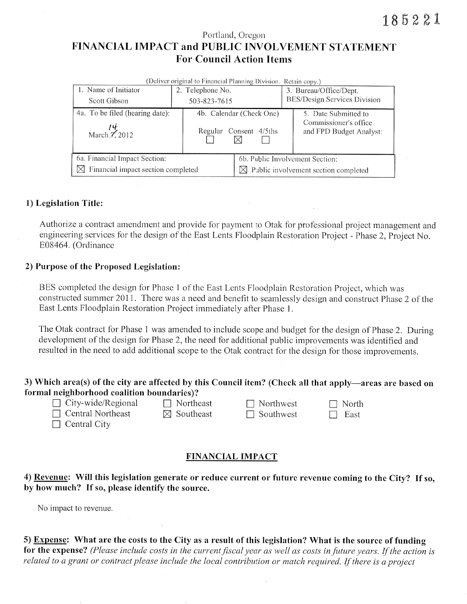# Portland, Oregon FINANCIAL IMPACT and PUBLIC INVOLVEMENT STATEMENT **For Council Action Items**

| (Deliver original to Financial Planning Division. Retain copy.) |                  |                                                  |                                                  |  |  |  |  |  |  |
|-----------------------------------------------------------------|------------------|--------------------------------------------------|--------------------------------------------------|--|--|--|--|--|--|
| 1. Name of Initiator                                            | 2. Telephone No. |                                                  | 3. Bureau/Office/Dept.                           |  |  |  |  |  |  |
| Scott Gibson                                                    | 503-823-7615     |                                                  | BES/Design Services Division                     |  |  |  |  |  |  |
| 4a. To be filed (hearing date):                                 |                  | 4b. Calendar (Check One)                         | 5. Date Submitted to                             |  |  |  |  |  |  |
| $\frac{l}{l}$ March 7, 2012                                     |                  | Regular Consent 4/5ths                           | Commissioner's office<br>and FPD Budget Analyst: |  |  |  |  |  |  |
| 6a. Financial Impact Section:                                   |                  | 6b. Public Involvement Section:                  |                                                  |  |  |  |  |  |  |
| Financial impact section completed<br>M                         |                  | $\boxtimes$ Public involvement section completed |                                                  |  |  |  |  |  |  |

### 1) Legislation Title:

Authorize a contract amendment and provide for payment to Otak for professional project management and engineering services for the design of the East Lents Floodplain Restoration Project - Phase 2, Project No. E08464. (Ordinance

### 2) Purpose of the Proposed Legislation:

BES completed the design for Phase 1 of the East Lents Floodplain Restoration Project, which was constructed summer 2011. There was a need and benefit to seamlessly design and construct Phase 2 of the East Lents Floodplain Restoration Project immediately after Phase 1.

The Otak contract for Phase 1 was amended to include scope and budget for the design of Phase 2. During development of the design for Phase 2, the need for additional public improvements was identified and resulted in the need to add additional scope to the Otak contract for the design for those improvements.

# 3) Which area(s) of the city are affected by this Council item? (Check all that apply—areas are based on formal neighborhood coalition boundaries)?

| $\Box$ City-wide/Re |
|---------------------|

egional  $\Box$  Northeast  $\Box$  Central Northeast

 $\boxtimes$  Southeast

| $\vert \ \vert$ | Northwest |
|-----------------|-----------|
|                 | Southwest |

 $\Box$  North  $\Box$  East

 $\Box$  Central City

# **FINANCIAL IMPACT**

4) Revenue: Will this legislation generate or reduce current or future revenue coming to the City? If so, by how much? If so, please identify the source.

No impact to revenue.

5) Expense: What are the costs to the City as a result of this legislation? What is the source of funding for the expense? (Please include costs in the current fiscal year as well as costs in future years. If the action is related to a grant or contract please include the local contribution or match required. If there is a project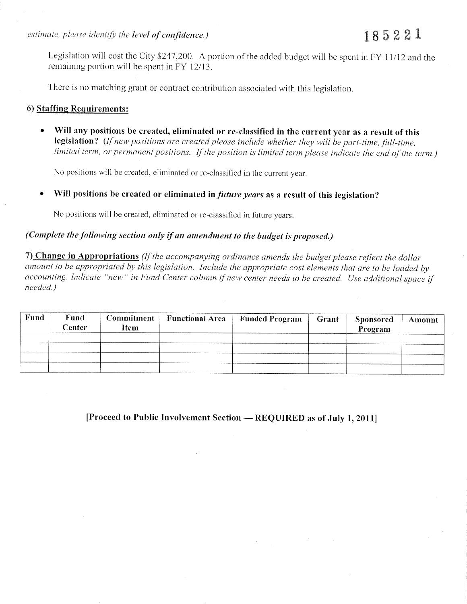Legislation will cost the City \$247,200. A portion of the added budget will be spent in FY 11/12 and the remaining portion will be spent in FY 12/13.

There is no matching grant or contract contribution associated with this legislation.

### 6) Staffing Requirements:

Will any positions be created, eliminated or re-classified in the current year as a result of this  $\bullet$ legislation? (If new positions are created please include whether they will be part-time, full-time, limited term, or permanent positions. If the position is limited term please indicate the end of the term.)

No positions will be created, eliminated or re-classified in the current year.

Will positions be created or eliminated in *future years* as a result of this legislation?

No positions will be created, eliminated or re-classified in future years.

# (Complete the following section only if an amendment to the budget is proposed.)

7) Change in Appropriations (If the accompanying ordinance amends the budget please reflect the dollar amount to be appropriated by this legislation. Include the appropriate cost elements that are to be loaded by accounting. Indicate "new" in Fund Center column if new center needs to be created. Use additional space if needed.)

| Fund | Fund<br><b>Center</b> | Commitment<br>Item | <b>Functional Area</b> | <b>Funded Program</b> | Grant | <b>Sponsored</b><br>Program | Amount |
|------|-----------------------|--------------------|------------------------|-----------------------|-------|-----------------------------|--------|
|      |                       |                    |                        |                       |       |                             |        |
|      |                       |                    |                        |                       |       |                             |        |

[Proceed to Public Involvement Section — REQUIRED as of July 1, 2011]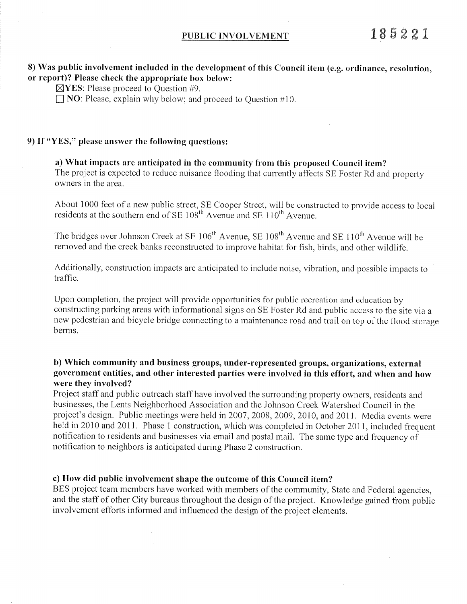# 8) Was public involvement included in the development of this Council item (e.g. ordinance, resolution, or report)? Please check the appropriate box below:

 $\boxtimes$ YES: Please proceed to Question #9.

 $\Box$  NO: Please, explain why below; and proceed to Ouestion #10.

### 9) If "YES," please answer the following questions:

### a) What impacts are anticipated in the community from this proposed Council item?

The project is expected to reduce nuisance flooding that currently affects SE Foster Rd and property owners in the area.

About 1000 feet of a new public street, SE Cooper Street, will be constructed to provide access to local residents at the southern end of SE 108<sup>th</sup> Avenue and SE 110<sup>th</sup> Avenue.

The bridges over Johnson Creek at SE 106<sup>th</sup> Avenue, SE 108<sup>th</sup> Avenue and SE 110<sup>th</sup> Avenue will be removed and the creek banks reconstructed to improve habitat for fish, birds, and other wildlife.

Additionally, construction impacts are anticipated to include noise, vibration, and possible impacts to traffic.

Upon completion, the project will provide opportunities for public recreation and education by constructing parking areas with informational signs on SE Foster Rd and public access to the site via a new pedestrian and bicycle bridge connecting to a maintenance road and trail on top of the flood storage berms.

### b) Which community and business groups, under-represented groups, organizations, external government entities, and other interested parties were involved in this effort, and when and how were they involved?

Project staff and public outreach staff have involved the surrounding property owners, residents and businesses, the Lents Neighborhood Association and the Johnson Creek Watershed Council in the project's design. Public meetings were held in 2007, 2008, 2009, 2010, and 2011. Media events were held in 2010 and 2011. Phase 1 construction, which was completed in October 2011, included frequent notification to residents and businesses via email and postal mail. The same type and frequency of notification to neighbors is anticipated during Phase 2 construction.

### c) How did public involvement shape the outcome of this Council item?

BES project team members have worked with members of the community, State and Federal agencies, and the staff of other City bureaus throughout the design of the project. Knowledge gained from public involvement efforts informed and influenced the design of the project elements.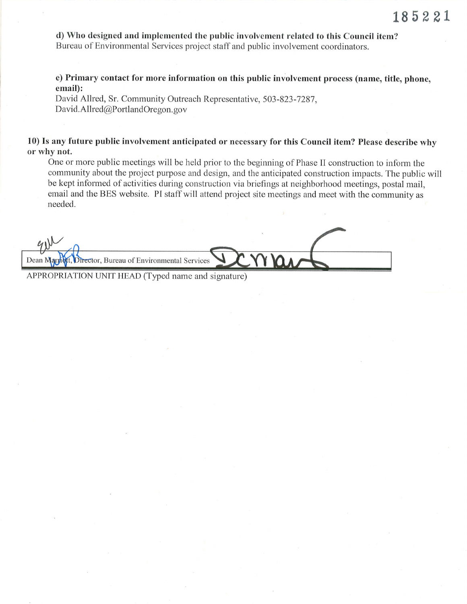d) Who designed and implemented the public involvement related to this Council item? Bureau of Environmental Services project staff and public involvement coordinators.

e) Primary contact for more information on this public involvement process (name, title, phone, email):

David Allred, Sr. Community Outreach Representative, 503-823-7287, David. Allred@PortlandOregon. gov

10) Is any future public involvement anticipated or necessary for this Council item? Please describe why or why not.

One or more public meetings will be held prior to the beginning of Phase II construction to inform the community about the project purpose and design, and the anticipated construction impacts. The public will be kept informed of activities during construction via briefings at neighborhood meetings, postal mail, email and the BES website. PI staff will attend project site meetings and meet with the community as needed.

, Bureau of Environmental Services

APPROPRIATION UNIT HEAD (Typed name and signature)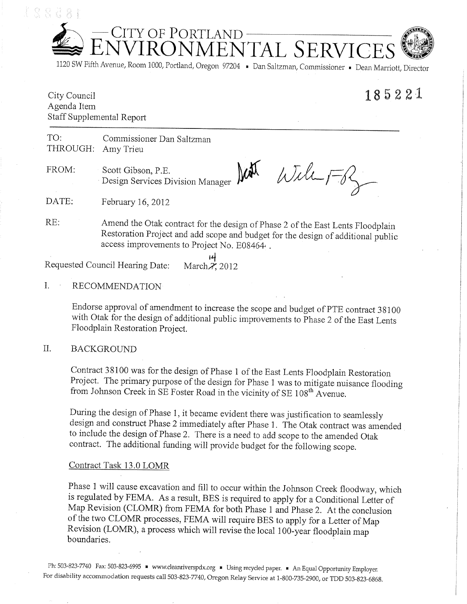-CITY OF PORTLAND<br>NVIRONMENTAL SERVICE

1120 SW Fifth Avenue, Room 1000, Portland, Oregon 97204 Dan Saltzman, Commissioner Dean Marriott, Director

# 185221

City Council Agenda Item Staff Supplemental Report

TO: Commissioner Dan Saltzman THROUGH: Amy Trieu

FROM: Scott Gibson, P.E. Design Services Division Manager

 $With-F3$  $M_{\textrm{NN}}$ 

DATE: February 16, 2012

Amend the Otak contract for the design of Phase 2 of the East Lents Floodplain RE: Restoration Project and add scope and budget for the design of additional public access improvements to Project No. E084644.

> 14 March 7, 2012

#### $I.$ **RECOMMENDATION**

Requested Council Hearing Date:

Endorse approval of amendment to increase the scope and budget of PTE contract 38100 with Otak for the design of additional public improvements to Phase 2 of the East Lents Floodplain Restoration Project.

#### II. **BACKGROUND**

Contract 38100 was for the design of Phase 1 of the East Lents Floodplain Restoration Project. The primary purpose of the design for Phase 1 was to mitigate nuisance flooding from Johnson Creek in SE Foster Road in the vicinity of SE 108<sup>th</sup> Avenue.

During the design of Phase 1, it became evident there was justification to seamlessly design and construct Phase 2 immediately after Phase 1. The Otak contract was amended to include the design of Phase 2. There is a need to add scope to the amended Otak contract. The additional funding will provide budget for the following scope.

### Contract Task 13.0 LOMR

Phase 1 will cause excavation and fill to occur within the Johnson Creek floodway, which is regulated by FEMA. As a result, BES is required to apply for a Conditional Letter of Map Revision (CLOMR) from FEMA for both Phase 1 and Phase 2. At the conclusion of the two CLOMR processes, FEMA will require BES to apply for a Letter of Map Revision (LOMR), a process which will revise the local 100-year floodplain map boundaries.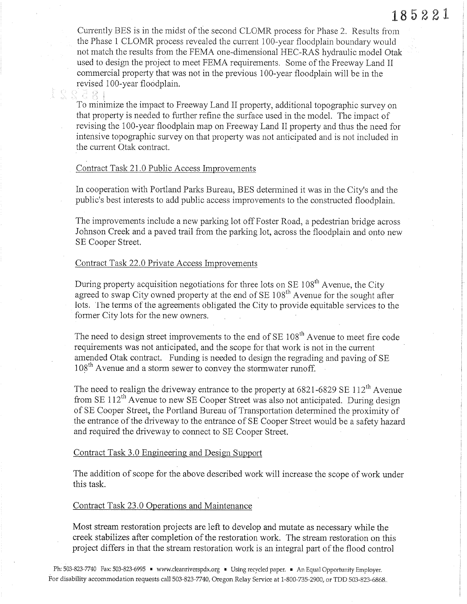Currently BES is in the midst of the second CLOMR process for Phase 2. Results from the Phase 1 CLOMR process revealed the current 100-year floodplain boundary would not match the results from the FEMA one-dimensional HEC-RAS hydraulic model Otak used to design the project to meet FEMA requirements. Some of the Freeway Land II commercial properly that was not in the previous 1OO-year floodplain will be in the revised i OO-year floodplain.

185221

To minimize the impact to Freeway Land II property, additional topographic survey on that property is needed to further refine the surface used in the model. The impact of revising the 100-year floodplain map on Freeway Land II property and thus the need for intensive topographic survey on that property was not anticipated and is not included in the current Otak contract.

### Contract Task 21.0 Public Access Improvements

ti ', 'l

e a

In cooperation with Portland Parks Bureau, BES determined it was in the City's and the public's best interests to add public access improvements to the constructed floodplain.

The improvements include a new parking lot off Foster Road, a pedestrian bridge across Johnson Creek and a paved trail from the parking lot, across the floodplain and onto new SE Cooper Street.

### Contract Task 22.0 Private Access Improvements

During property acquisition negotiations for three lots on  $SE 108<sup>th</sup>$  Avenue, the City agreed to swap City owned property at the end of  $SE 108<sup>th</sup>$  Avenue for the sought after lots. The terms of the agreements obligated the City to provide equitable services to the former City lots for the new owners.

The need to design street improvements to the end of  $SE 108<sup>th</sup>$  Avenue to meet fire code requirements was not anticipated, and the scope for that work is not in the current amended Otak contract. Funding is needed to design the regrading and paving of SE  $108<sup>th</sup>$  Avenue and a storm sewer to convey the stormwater runoff.

The need to realign the driveway entrance to the property at  $6821-6829 \text{ SE } 112^{\text{th}}$  Avenue from SE  $112<sup>th</sup>$  Avenue to new SE Cooper Street was also not anticipated. During design of SE Cooper Street, the Portland Bureau of Transportation determined the proximity of the entrance of the driveway to the entrance of SE Cooper Street would be a safety hazard and required the driveway to connect to SE Cooper Street.

# Contract Task 3.0 Engineering and Design Support

The addition of scope for the above described work will increase the scope of work under this task.

#### Contract Task 23,0 Operations and Maintenance

Most stream restoration projects are left to develop and mutate as necessary while the creek stabilizes after completion of the restoration work. The stream restoration on this project differs in that the stream restoration work is an integral part of the flood control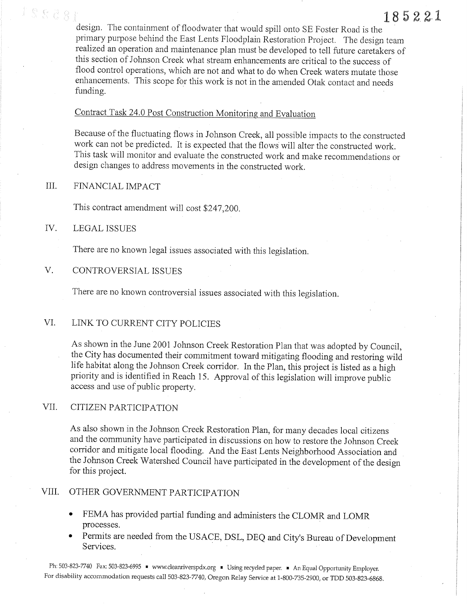design. The containment of floodwater that would spill onto SE Foster Road is the primary purpose behind the East Lents Floodplain Restoration Project. The design team realized an operation and maintenance plan must be developed to tell future caretakers of this section of Johnson Creek what stream enhancements are critical to the success of flood control operations, which are not and what to do when Creek waters mutate those enhancements. This scope for this work is not in the amended Otak contact and needs funding.

185221

# Contract Task 24.0 Post Construction Monitoring and Evaluation

Because of the fluctuating flows in Johnson Creek, all possible impacts to the constructed work can not be predicted. It is expected that the flows will alter the constructed work. This task will monitor and evaluate the constructed work and make recommendations or design changes to address movements in the constructed work.

#### III. FINANCIAL IMPACT

This contract amendment will cost \$247,200.

#### IV. **LEGAL ISSUES**

 $8888$ 

There are no known legal issues associated with this legislation.

#### $V_{\cdot}$ CONTROVERSIAL ISSUES

There are no known controversial issues associated with this legislation.

#### VI. LINK TO CURRENT CITY POLICIES

As shown in the June 2001 Johnson Creek Restoration Plan that was adopted by Council, the City has documented their commitment toward mitigating flooding and restoring wild life habitat along the Johnson Creek corridor. In the Plan, this project is listed as a high priority and is identified in Reach 15. Approval of this legislation will improve public access and use of public property.

#### VII. CITIZEN PARTICIPATION

As also shown in the Johnson Creek Restoration Plan, for many decades local citizens and the community have participated in discussions on how to restore the Johnson Creek corridor and mitigate local flooding. And the East Lents Neighborhood Association and the Johnson Creek Watershed Council have participated in the development of the design for this project.

#### VIII. OTHER GOVERNMENT PARTICIPATION

- FEMA has provided partial funding and administers the CLOMR and LOMR  $\bullet$ processes.
- Permits are needed from the USACE, DSL, DEQ and City's Bureau of Development Services.

Ph: 503-823-7740 Fax: 503-823-6995 • www.cleanriverspdx.org • Using recycled paper. • An Equal Opportunity Employer. For disability accommodation requests call 503-823-7740, Oregon Relay Service at 1-800-735-2900, or TDD 503-823-6868.